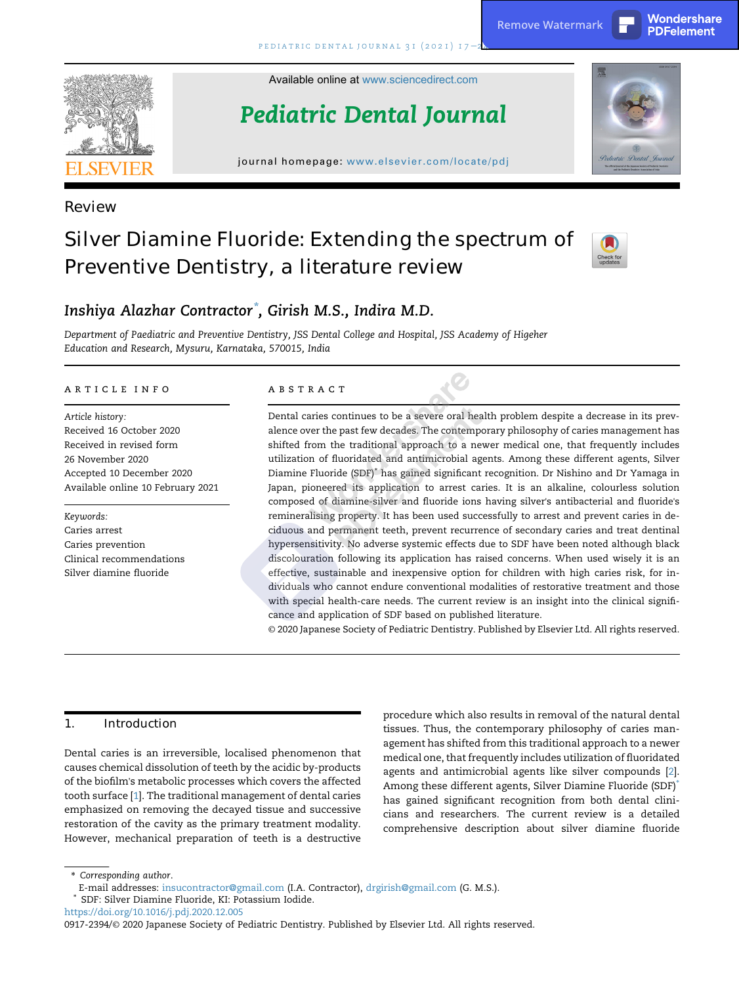Available online at [www.sciencedirect.com](www.sciencedirect.com/science/journal/09172394)

Pediatric Dental Journal

journal homepage: <www.elsevier.com/locate/pdj>





Review

# Silver Diamine Fluoride: Extending the spectrum of Preventive Dentistry, a literature review



## Inshiya Alazhar Contractor\* , Girish M.S., Indira M.D.

Department of Paediatric and Preventive Dentistry, JSS Dental College and Hospital, JSS Academy of Higeher Education and Research, Mysuru, Karnataka, 570015, India

#### a r t i c l e i n f o

Article history: Received 16 October 2020 Received in revised form 26 November 2020 Accepted 10 December 2020 Available online 10 February 2021

Keywords: Caries arrest Caries prevention Clinical recommendations Silver diamine fluoride

#### A B S T R A C T

Dental caries continues to be a severe oral health problem despite a decrease in its prevalence over the past few decades. The contemporary philosophy of caries management has shifted from the traditional approach to a newer medical one, that frequently includes utilization of fluoridated and antimicrobial agents. Among these different agents, Silver Diamine Fluoride (SDF)\* has gained significant recognition. Dr Nishino and Dr Yamaga in Japan, pioneered its application to arrest caries. It is an alkaline, colourless solution composed of diamine-silver and fluoride ions having silver's antibacterial and fluoride's remineralising property. It has been used successfully to arrest and prevent caries in deciduous and permanent teeth, prevent recurrence of secondary caries and treat dentinal hypersensitivity. No adverse systemic effects due to SDF have been noted although black discolouration following its application has raised concerns. When used wisely it is an effective, sustainable and inexpensive option for children with high caries risk, for individuals who cannot endure conventional modalities of restorative treatment and those with special health-care needs. The current review is an insight into the clinical significance and application of SDF based on published literature. **Properties and the example of the example of Pediatric Dentistry. Properties and the example of the example of the example of the example of Pediatric Dentistry, a literature review of the expectrum of**  $\frac{1}{2}$  **and \** 

© 2020 Japanese Society of Pediatric Dentistry. Published by Elsevier Ltd. All rights reserved.

## 1. Introduction

Dental caries is an irreversible, localised phenomenon that causes chemical dissolution of teeth by the acidic by-products of the biofilm's metabolic processes which covers the affected tooth surface [\[1\]](#page-6-0). The traditional management of dental caries emphasized on removing the decayed tissue and successive restoration of the cavity as the primary treatment modality. However, mechanical preparation of teeth is a destructive

procedure which also results in removal of the natural dental tissues. Thus, the contemporary philosophy of caries management has shifted from this traditional approach to a newer medical one, that frequently includes utilization of fluoridated agents and antimicrobial agents like silver compounds [[2](#page-6-1)]. Among these different agents, Silver Diamine Fluoride (SDF)\* has gained significant recognition from both dental clinicians and researchers. The current review is a detailed comprehensive description about silver diamine fluoride

\* Corresponding author.

<https://doi.org/10.1016/j.pdj.2020.12.005>

E-mail addresses: [insucontractor@gmail.com](mailto:insucontractor@gmail.com) (I.A. Contractor), [drgirish@gmail.com](mailto:drgirish@gmail.com) (G. M.S.).

<sup>\*</sup> SDF: Silver Diamine Fluoride, KI: Potassium Iodide.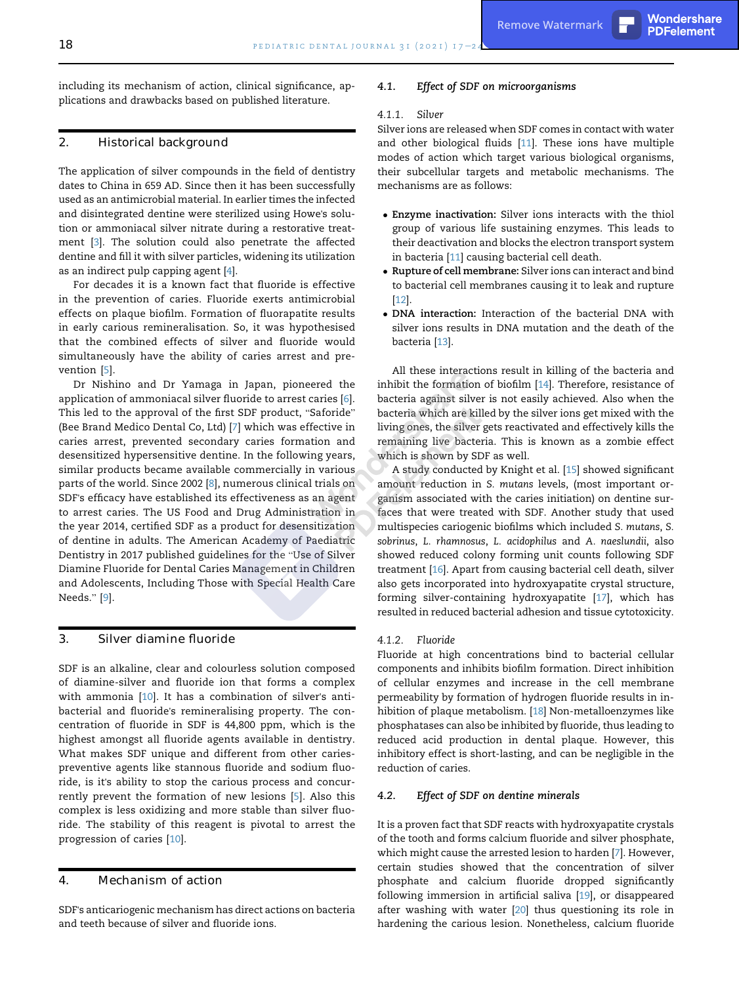including its mechanism of action, clinical significance, applications and drawbacks based on published literature.

## 2. Historical background

The application of silver compounds in the field of dentistry dates to China in 659 AD. Since then it has been successfully used as an antimicrobial material. In earlier times the infected and disintegrated dentine were sterilized using Howe's solution or ammoniacal silver nitrate during a restorative treatment [[3\]](#page-6-2). The solution could also penetrate the affected dentine and fill it with silver particles, widening its utilization as an indirect pulp capping agent [[4](#page-6-3)].

For decades it is a known fact that fluoride is effective in the prevention of caries. Fluoride exerts antimicrobial effects on plaque biofilm. Formation of fluorapatite results in early carious remineralisation. So, it was hypothesised that the combined effects of silver and fluoride would simultaneously have the ability of caries arrest and prevention [[5](#page-6-4)].

Dr Nishino and Dr Yamaga in Japan, pioneered the application of ammoniacal silver fluoride to arrest caries [[6\]](#page-6-5). This led to the approval of the first SDF product, "Saforide" (Bee Brand Medico Dental Co, Ltd) [\[7\]](#page-6-6) which was effective in caries arrest, prevented secondary caries formation and desensitized hypersensitive dentine. In the following years, similar products became available commercially in various parts of the world. Since 2002 [\[8\]](#page-6-7), numerous clinical trials on SDF's efficacy have established its effectiveness as an agent to arrest caries. The US Food and Drug Administration in the year 2014, certified SDF as a product for desensitization of dentine in adults. The American Academy of Paediatric Dentistry in 2017 published guidelines for the "Use of Silver Diamine Fluoride for Dental Caries Management in Children and Adolescents, Including Those with Special Health Care Needs." [\[9\]](#page-6-8).

#### 3. Silver diamine fluoride

SDF is an alkaline, clear and colourless solution composed of diamine-silver and fluoride ion that forms a complex with ammonia [\[10](#page-6-9)]. It has a combination of silver's antibacterial and fluoride's remineralising property. The concentration of fluoride in SDF is 44,800 ppm, which is the highest amongst all fluoride agents available in dentistry. What makes SDF unique and different from other cariespreventive agents like stannous fluoride and sodium fluoride, is it's ability to stop the carious process and concurrently prevent the formation of new lesions [[5](#page-6-4)]. Also this complex is less oxidizing and more stable than silver fluoride. The stability of this reagent is pivotal to arrest the progression of caries [[10\]](#page-6-9).

## 4. Mechanism of action

SDF's anticariogenic mechanism has direct actions on bacteria and teeth because of silver and fluoride ions.

#### 4.1. Effect of SDF on microorganisms

#### 4.1.1. Silver

Silver ions are released when SDF comes in contact with water and other biological fluids [[11\]](#page-6-10). These ions have multiple modes of action which target various biological organisms, their subcellular targets and metabolic mechanisms. The mechanisms are as follows:

- Enzyme inactivation: Silver ions interacts with the thiol group of various life sustaining enzymes. This leads to their deactivation and blocks the electron transport system in bacteria [[11](#page-6-10)] causing bacterial cell death.
- Rupture of cell membrane: Silver ions can interact and bind to bacterial cell membranes causing it to leak and rupture [[12](#page-6-11)].
- DNA interaction: Interaction of the bacterial DNA with silver ions results in DNA mutation and the death of the bacteria [\[13](#page-6-12)].

All these interactions result in killing of the bacteria and inhibit the formation of biofilm [[14](#page-6-13)]. Therefore, resistance of bacteria against silver is not easily achieved. Also when the bacteria which are killed by the silver ions get mixed with the living ones, the silver gets reactivated and effectively kills the remaining live bacteria. This is known as a zombie effect which is shown by SDF as well.

A study conducted by Knight et al. [\[15](#page-6-14)] showed significant amount reduction in S. mutans levels, (most important organism associated with the caries initiation) on dentine surfaces that were treated with SDF. Another study that used multispecies cariogenic biofilms which included S. mutans, S. sobrinus, L. rhamnosus, L. acidophilus and A. naeslundii, also showed reduced colony forming unit counts following SDF treatment [\[16](#page-6-15)]. Apart from causing bacterial cell death, silver also gets incorporated into hydroxyapatite crystal structure, forming silver-containing hydroxyapatite [[17](#page-6-16)], which has resulted in reduced bacterial adhesion and tissue cytotoxicity.

#### 4.1.2. Fluoride

Fluoride at high concentrations bind to bacterial cellular components and inhibits biofilm formation. Direct inhibition of cellular enzymes and increase in the cell membrane permeability by formation of hydrogen fluoride results in inhibition of plaque metabolism. [\[18](#page-6-17)] Non-metalloenzymes like phosphatases can also be inhibited by fluoride, thus leading to reduced acid production in dental plaque. However, this inhibitory effect is short-lasting, and can be negligible in the reduction of caries.

#### 4.2. Effect of SDF on dentine minerals

It is a proven fact that SDF reacts with hydroxyapatite crystals of the tooth and forms calcium fluoride and silver phosphate, which might cause the arrested lesion to harden [[7\]](#page-6-6). However, certain studies showed that the concentration of silver phosphate and calcium fluoride dropped significantly following immersion in artificial saliva [[19\]](#page-6-18), or disappeared after washing with water [\[20\]](#page-6-19) thus questioning its role in hardening the carious lesion. Nonetheless, calcium fluoride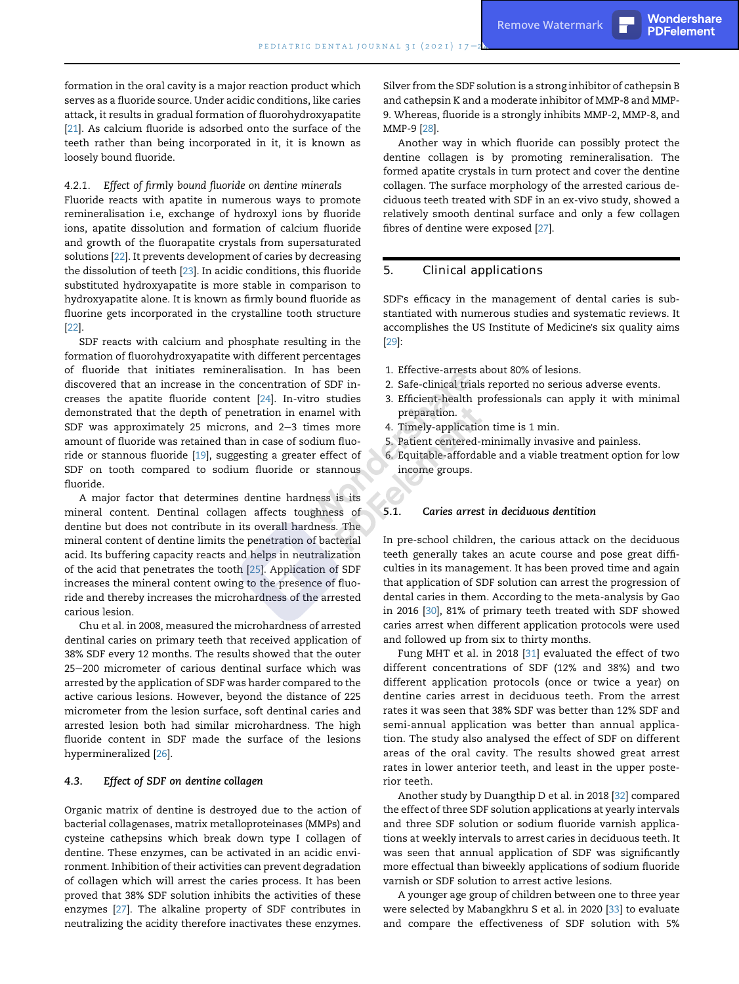#### 4.2.1. Effect of firmly bound fluoride on dentine minerals

Fluoride reacts with apatite in numerous ways to promote remineralisation i.e, exchange of hydroxyl ions by fluoride ions, apatite dissolution and formation of calcium fluoride and growth of the fluorapatite crystals from supersaturated solutions [\[22\]](#page-6-21). It prevents development of caries by decreasing the dissolution of teeth [\[23](#page-6-22)]. In acidic conditions, this fluoride substituted hydroxyapatite is more stable in comparison to hydroxyapatite alone. It is known as firmly bound fluoride as fluorine gets incorporated in the crystalline tooth structure [\[22](#page-6-21)].

SDF reacts with calcium and phosphate resulting in the formation of fluorohydroxyapatite with different percentages of fluoride that initiates remineralisation. In has been discovered that an increase in the concentration of SDF increases the apatite fluoride content [[24](#page-6-23)]. In-vitro studies demonstrated that the depth of penetration in enamel with SDF was approximately 25 microns, and  $2-3$  times more amount of fluoride was retained than in case of sodium fluoride or stannous fluoride [\[19](#page-6-18)], suggesting a greater effect of SDF on tooth compared to sodium fluoride or stannous fluoride.

A major factor that determines dentine hardness is its mineral content. Dentinal collagen affects toughness of dentine but does not contribute in its overall hardness. The mineral content of dentine limits the penetration of bacterial acid. Its buffering capacity reacts and helps in neutralization of the acid that penetrates the tooth [\[25](#page-6-24)]. Application of SDF increases the mineral content owing to the presence of fluoride and thereby increases the microhardness of the arrested carious lesion.

Chu et al. in 2008, measured the microhardness of arrested dentinal caries on primary teeth that received application of 38% SDF every 12 months. The results showed that the outer 25-200 micrometer of carious dentinal surface which was arrested by the application of SDF was harder compared to the active carious lesions. However, beyond the distance of 225 micrometer from the lesion surface, soft dentinal caries and arrested lesion both had similar microhardness. The high fluoride content in SDF made the surface of the lesions hypermineralized [\[26\]](#page-6-25).

#### 4.3. Effect of SDF on dentine collagen

Organic matrix of dentine is destroyed due to the action of bacterial collagenases, matrix metalloproteinases (MMPs) and cysteine cathepsins which break down type I collagen of dentine. These enzymes, can be activated in an acidic environment. Inhibition of their activities can prevent degradation of collagen which will arrest the caries process. It has been proved that 38% SDF solution inhibits the activities of these enzymes [\[27](#page-6-26)]. The alkaline property of SDF contributes in neutralizing the acidity therefore inactivates these enzymes.

Silver from the SDF solution is a strong inhibitor of cathepsin B and cathepsin K and a moderate inhibitor of MMP-8 and MMP-9. Whereas, fluoride is a strongly inhibits MMP-2, MMP-8, and MMP-9 [[28](#page-6-27)].

Another way in which fluoride can possibly protect the dentine collagen is by promoting remineralisation. The formed apatite crystals in turn protect and cover the dentine collagen. The surface morphology of the arrested carious deciduous teeth treated with SDF in an ex-vivo study, showed a relatively smooth dentinal surface and only a few collagen fibres of dentine were exposed [[27](#page-6-26)].

#### 5. Clinical applications

SDF's efficacy in the management of dental caries is substantiated with numerous studies and systematic reviews. It accomplishes the US Institute of Medicine's six quality aims [\[29](#page-6-28)]:

- 1. Effective-arrests about 80% of lesions.
- 2. Safe-clinical trials reported no serious adverse events.
- 3. Efficient-health professionals can apply it with minimal preparation.
- 4. Timely-application time is 1 min.
- 5. Patient centered-minimally invasive and painless.
- 6. Equitable-affordable and a viable treatment option for low income groups.

#### 5.1. Caries arrest in deciduous dentition

In pre-school children, the carious attack on the deciduous teeth generally takes an acute course and pose great difficulties in its management. It has been proved time and again that application of SDF solution can arrest the progression of dental caries in them. According to the meta-analysis by Gao in 2016 [\[30\]](#page-6-29), 81% of primary teeth treated with SDF showed caries arrest when different application protocols were used and followed up from six to thirty months.

Fung MHT et al. in 2018 [[31\]](#page-6-30) evaluated the effect of two different concentrations of SDF (12% and 38%) and two different application protocols (once or twice a year) on dentine caries arrest in deciduous teeth. From the arrest rates it was seen that 38% SDF was better than 12% SDF and semi-annual application was better than annual application. The study also analysed the effect of SDF on different areas of the oral cavity. The results showed great arrest rates in lower anterior teeth, and least in the upper posterior teeth.

Another study by Duangthip D et al. in 2018 [\[32](#page-6-31)] compared the effect of three SDF solution applications at yearly intervals and three SDF solution or sodium fluoride varnish applications at weekly intervals to arrest caries in deciduous teeth. It was seen that annual application of SDF was significantly more effectual than biweekly applications of sodium fluoride varnish or SDF solution to arrest active lesions.

A younger age group of children between one to three year were selected by Mabangkhru S et al. in 2020 [[33\]](#page-6-32) to evaluate and compare the effectiveness of SDF solution with 5%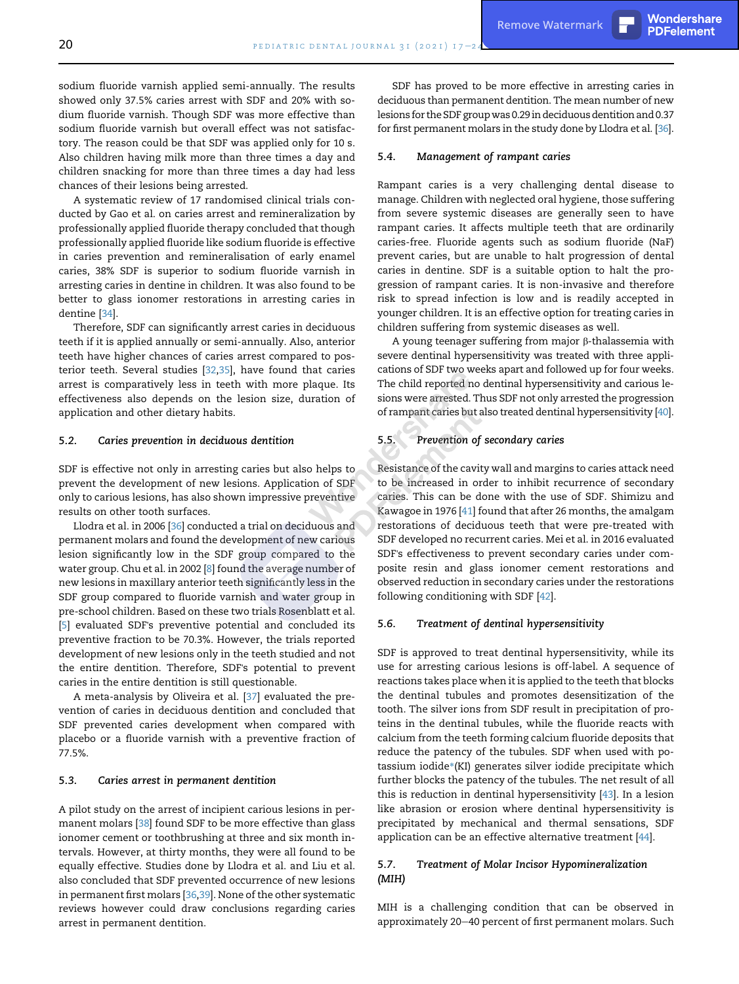A systematic review of 17 randomised clinical trials conducted by Gao et al. on caries arrest and remineralization by professionally applied fluoride therapy concluded that though professionally applied fluoride like sodium fluoride is effective in caries prevention and remineralisation of early enamel caries, 38% SDF is superior to sodium fluoride varnish in arresting caries in dentine in children. It was also found to be better to glass ionomer restorations in arresting caries in dentine [\[34\]](#page-6-33).

Therefore, SDF can significantly arrest caries in deciduous teeth if it is applied annually or semi-annually. Also, anterior teeth have higher chances of caries arrest compared to posterior teeth. Several studies [[32](#page-6-31),[35](#page-6-34)], have found that caries arrest is comparatively less in teeth with more plaque. Its effectiveness also depends on the lesion size, duration of application and other dietary habits.

#### 5.2. Caries prevention in deciduous dentition

SDF is effective not only in arresting caries but also helps to prevent the development of new lesions. Application of SDF only to carious lesions, has also shown impressive preventive results on other tooth surfaces.

Llodra et al. in 2006 [[36](#page-6-35)] conducted a trial on deciduous and permanent molars and found the development of new carious lesion significantly low in the SDF group compared to the water group. Chu et al. in 2002 [[8\]](#page-6-7) found the average number of new lesions in maxillary anterior teeth significantly less in the SDF group compared to fluoride varnish and water group in pre-school children. Based on these two trials Rosenblatt et al. [[5](#page-6-4)] evaluated SDF's preventive potential and concluded its preventive fraction to be 70.3%. However, the trials reported development of new lesions only in the teeth studied and not the entire dentition. Therefore, SDF's potential to prevent caries in the entire dentition is still questionable.

A meta-analysis by Oliveira et al. [[37](#page-6-36)] evaluated the prevention of caries in deciduous dentition and concluded that SDF prevented caries development when compared with placebo or a fluoride varnish with a preventive fraction of 77.5%.

#### 5.3. Caries arrest in permanent dentition

A pilot study on the arrest of incipient carious lesions in permanent molars [[38](#page-6-37)] found SDF to be more effective than glass ionomer cement or toothbrushing at three and six month intervals. However, at thirty months, they were all found to be equally effective. Studies done by Llodra et al. and Liu et al. also concluded that SDF prevented occurrence of new lesions in permanent first molars [[36](#page-6-35),[39\]](#page-6-38). None of the other systematic reviews however could draw conclusions regarding caries arrest in permanent dentition.

SDF has proved to be more effective in arresting caries in deciduous than permanent dentition. The mean number of new lesions for the SDF groupwas 0.29 in deciduous dentition and 0.37 for first permanent molars in the study done by Llodra et al. [\[36\]](#page-6-35).

#### 5.4. Management of rampant caries

Rampant caries is a very challenging dental disease to manage. Children with neglected oral hygiene, those suffering from severe systemic diseases are generally seen to have rampant caries. It affects multiple teeth that are ordinarily caries-free. Fluoride agents such as sodium fluoride (NaF) prevent caries, but are unable to halt progression of dental caries in dentine. SDF is a suitable option to halt the progression of rampant caries. It is non-invasive and therefore risk to spread infection is low and is readily accepted in younger children. It is an effective option for treating caries in children suffering from systemic diseases as well.

A young teenager suffering from major  $\beta$ -thalassemia with severe dentinal hypersensitivity was treated with three applications of SDF two weeks apart and followed up for four weeks. The child reported no dentinal hypersensitivity and carious lesions were arrested. Thus SDF not only arrested the progression of rampant caries but also treated dentinal hypersensitivity [\[40\]](#page-6-39).

### 5.5. Prevention of secondary caries

Resistance of the cavity wall and margins to caries attack need to be increased in order to inhibit recurrence of secondary caries. This can be done with the use of SDF. Shimizu and Kawagoe in 1976 [\[41](#page-6-40)] found that after 26 months, the amalgam restorations of deciduous teeth that were pre-treated with SDF developed no recurrent caries. Mei et al. in 2016 evaluated SDF's effectiveness to prevent secondary caries under composite resin and glass ionomer cement restorations and observed reduction in secondary caries under the restorations following conditioning with SDF [\[42\]](#page-7-0).

#### 5.6. Treatment of dentinal hypersensitivity

SDF is approved to treat dentinal hypersensitivity, while its use for arresting carious lesions is off-label. A sequence of reactions takes place when it is applied to the teeth that blocks the dentinal tubules and promotes desensitization of the tooth. The silver ions from SDF result in precipitation of proteins in the dentinal tubules, while the fluoride reacts with calcium from the teeth forming calcium fluoride deposits that reduce the patency of the tubules. SDF when used with potassium iodide\*(KI) generates silver iodide precipitate which further blocks the patency of the tubules. The net result of all this is reduction in dentinal hypersensitivity [[43](#page-7-1)]. In a lesion like abrasion or erosion where dentinal hypersensitivity is precipitated by mechanical and thermal sensations, SDF application can be an effective alternative treatment [[44\]](#page-7-2).

#### 5.7. Treatment of Molar Incisor Hypomineralization (MIH)

MIH is a challenging condition that can be observed in approximately 20-40 percent of first permanent molars. Such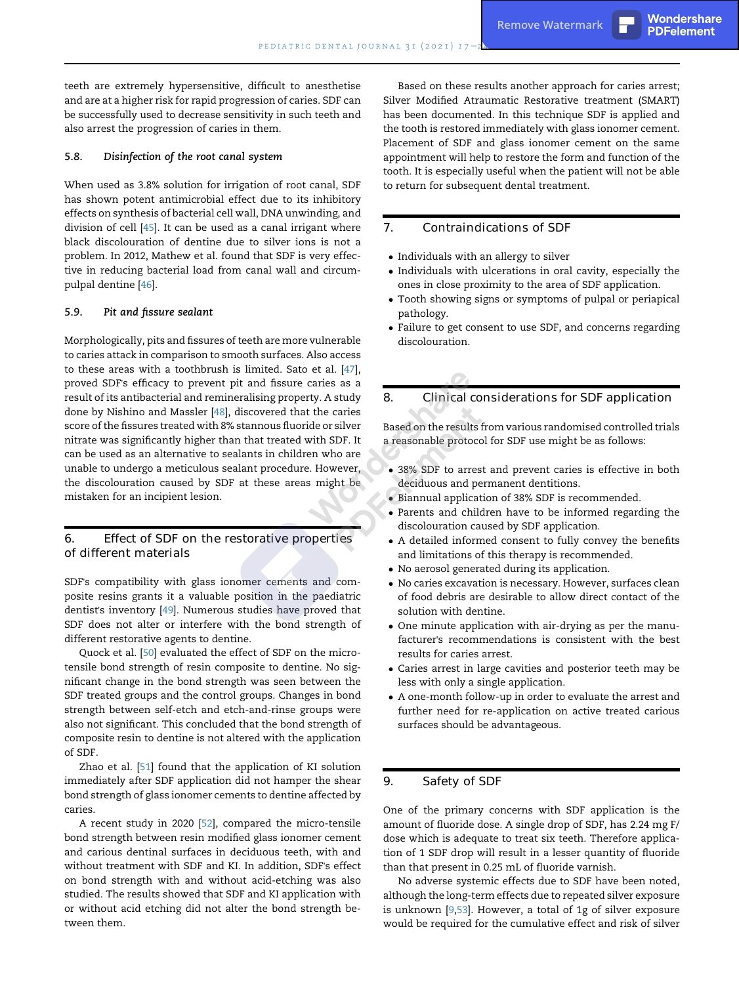teeth are extremely hypersensitive, difficult to anesthetise and are at a higher risk for rapid progression of caries. SDF can be successfully used to decrease sensitivity in such teeth and also arrest the progression of caries in them.

#### 5.8. Disinfection of the root canal system

When used as 3.8% solution for irrigation of root canal, SDF has shown potent antimicrobial effect due to its inhibitory effects on synthesis of bacterial cell wall, DNA unwinding, and division of cell [[45](#page-7-3)]. It can be used as a canal irrigant where black discolouration of dentine due to silver ions is not a problem. In 2012, Mathew et al. found that SDF is very effective in reducing bacterial load from canal wall and circumpulpal dentine [[46](#page-7-4)].

#### 5.9. Pit and fissure sealant

Morphologically, pits and fissures of teeth are more vulnerable to caries attack in comparison to smooth surfaces. Also access to these areas with a toothbrush is limited. Sato et al. [\[47](#page-7-5)], proved SDF's efficacy to prevent pit and fissure caries as a result of its antibacterial and remineralising property. A study done by Nishino and Massler [[48](#page-7-6)], discovered that the caries score of the fissures treated with 8% stannous fluoride or silver nitrate was significantly higher than that treated with SDF. It can be used as an alternative to sealants in children who are unable to undergo a meticulous sealant procedure. However, the discolouration caused by SDF at these areas might be mistaken for an incipient lesion.

## 6. Effect of SDF on the restorative properties of different materials

SDF's compatibility with glass ionomer cements and composite resins grants it a valuable position in the paediatric dentist's inventory [\[49\]](#page-7-7). Numerous studies have proved that SDF does not alter or interfere with the bond strength of different restorative agents to dentine.

Quock et al. [\[50](#page-7-8)] evaluated the effect of SDF on the microtensile bond strength of resin composite to dentine. No significant change in the bond strength was seen between the SDF treated groups and the control groups. Changes in bond strength between self-etch and etch-and-rinse groups were also not significant. This concluded that the bond strength of composite resin to dentine is not altered with the application of SDF.

Zhao et al. [[51\]](#page-7-9) found that the application of KI solution immediately after SDF application did not hamper the shear bond strength of glass ionomer cements to dentine affected by caries.

A recent study in 2020 [\[52](#page-7-10)], compared the micro-tensile bond strength between resin modified glass ionomer cement and carious dentinal surfaces in deciduous teeth, with and without treatment with SDF and KI. In addition, SDF's effect on bond strength with and without acid-etching was also studied. The results showed that SDF and KI application with or without acid etching did not alter the bond strength between them.

Based on these results another approach for caries arrest; Silver Modified Atraumatic Restorative treatment (SMART) has been documented. In this technique SDF is applied and the tooth is restored immediately with glass ionomer cement. Placement of SDF and glass ionomer cement on the same appointment will help to restore the form and function of the tooth. It is especially useful when the patient will not be able to return for subsequent dental treatment.

#### 7. Contraindications of SDF

- Individuals with an allergy to silver
- Individuals with ulcerations in oral cavity, especially the ones in close proximity to the area of SDF application.
- Tooth showing signs or symptoms of pulpal or periapical pathology.
- Failure to get consent to use SDF, and concerns regarding discolouration.

## 8. Clinical considerations for SDF application

Based on the results from various randomised controlled trials a reasonable protocol for SDF use might be as follows:

- 38% SDF to arrest and prevent caries is effective in both deciduous and permanent dentitions.
- Biannual application of 38% SDF is recommended.
- Parents and children have to be informed regarding the discolouration caused by SDF application.
- A detailed informed consent to fully convey the benefits and limitations of this therapy is recommended.
- No aerosol generated during its application.
- No caries excavation is necessary. However, surfaces clean of food debris are desirable to allow direct contact of the solution with dentine.
- One minute application with air-drying as per the manufacturer's recommendations is consistent with the best results for caries arrest.
- Caries arrest in large cavities and posterior teeth may be less with only a single application.
- A one-month follow-up in order to evaluate the arrest and further need for re-application on active treated carious surfaces should be advantageous.

## 9. Safety of SDF

One of the primary concerns with SDF application is the amount of fluoride dose. A single drop of SDF, has 2.24 mg F/ dose which is adequate to treat six teeth. Therefore application of 1 SDF drop will result in a lesser quantity of fluoride than that present in 0.25 mL of fluoride varnish.

No adverse systemic effects due to SDF have been noted, although the long-term effects due to repeated silver exposure is unknown [[9](#page-6-8)[,53](#page-7-11)]. However, a total of 1g of silver exposure would be required for the cumulative effect and risk of silver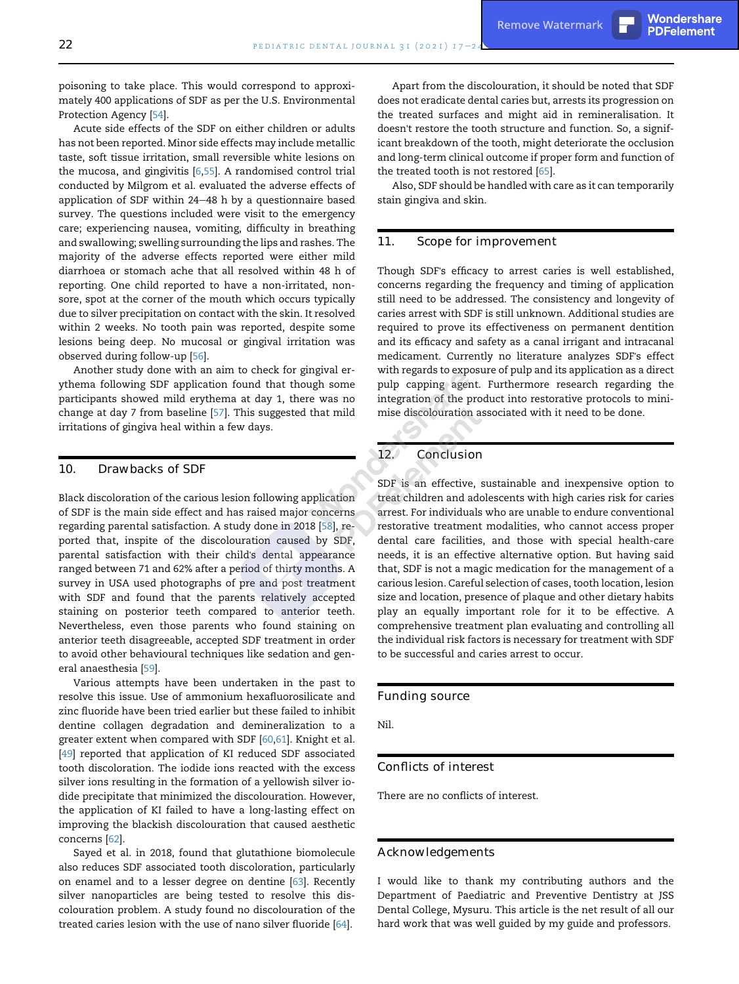PDFelement

poisoning to take place. This would correspond to approximately 400 applications of SDF as per the U.S. Environmental Protection Agency [\[54\]](#page-7-12).

Acute side effects of the SDF on either children or adults has not been reported. Minor side effects may include metallic taste, soft tissue irritation, small reversible white lesions on the mucosa, and gingivitis [[6](#page-6-5)[,55](#page-7-13)]. A randomised control trial conducted by Milgrom et al. evaluated the adverse effects of application of SDF within  $24-48$  h by a questionnaire based survey. The questions included were visit to the emergency care; experiencing nausea, vomiting, difficulty in breathing and swallowing; swelling surrounding the lips and rashes. The majority of the adverse effects reported were either mild diarrhoea or stomach ache that all resolved within 48 h of reporting. One child reported to have a non-irritated, nonsore, spot at the corner of the mouth which occurs typically due to silver precipitation on contact with the skin. It resolved within 2 weeks. No tooth pain was reported, despite some lesions being deep. No mucosal or gingival irritation was observed during follow-up [\[56](#page-7-14)].

Another study done with an aim to check for gingival erythema following SDF application found that though some participants showed mild erythema at day 1, there was no change at day 7 from baseline [\[57\]](#page-7-15). This suggested that mild irritations of gingiva heal within a few days.

#### 10. Drawbacks of SDF

Black discoloration of the carious lesion following application of SDF is the main side effect and has raised major concerns regarding parental satisfaction. A study done in 2018 [\[58](#page-7-16)], reported that, inspite of the discolouration caused by SDF, parental satisfaction with their child's dental appearance ranged between 71 and 62% after a period of thirty months. A survey in USA used photographs of pre and post treatment with SDF and found that the parents relatively accepted staining on posterior teeth compared to anterior teeth. Nevertheless, even those parents who found staining on anterior teeth disagreeable, accepted SDF treatment in order to avoid other behavioural techniques like sedation and general anaesthesia [[59\]](#page-7-17).

Various attempts have been undertaken in the past to resolve this issue. Use of ammonium hexafluorosilicate and zinc fluoride have been tried earlier but these failed to inhibit dentine collagen degradation and demineralization to a greater extent when compared with SDF [\[60](#page-7-18)[,61](#page-7-19)]. Knight et al. [[49\]](#page-7-7) reported that application of KI reduced SDF associated tooth discoloration. The iodide ions reacted with the excess silver ions resulting in the formation of a yellowish silver iodide precipitate that minimized the discolouration. However, the application of KI failed to have a long-lasting effect on improving the blackish discolouration that caused aesthetic concerns [\[62](#page-7-20)].

Sayed et al. in 2018, found that glutathione biomolecule also reduces SDF associated tooth discoloration, particularly on enamel and to a lesser degree on dentine [[63\]](#page-7-21). Recently silver nanoparticles are being tested to resolve this discolouration problem. A study found no discolouration of the treated caries lesion with the use of nano silver fluoride [[64\]](#page-7-22).

Apart from the discolouration, it should be noted that SDF does not eradicate dental caries but, arrests its progression on the treated surfaces and might aid in remineralisation. It doesn't restore the tooth structure and function. So, a significant breakdown of the tooth, might deteriorate the occlusion and long-term clinical outcome if proper form and function of the treated tooth is not restored [\[65](#page-7-23)].

Also, SDF should be handled with care as it can temporarily stain gingiva and skin.

#### 11. Scope for improvement

Though SDF's efficacy to arrest caries is well established, concerns regarding the frequency and timing of application still need to be addressed. The consistency and longevity of caries arrest with SDF is still unknown. Additional studies are required to prove its effectiveness on permanent dentition and its efficacy and safety as a canal irrigant and intracanal medicament. Currently no literature analyzes SDF's effect with regards to exposure of pulp and its application as a direct pulp capping agent. Furthermore research regarding the integration of the product into restorative protocols to minimise discolouration associated with it need to be done.

## 12. Conclusion

SDF is an effective, sustainable and inexpensive option to treat children and adolescents with high caries risk for caries arrest. For individuals who are unable to endure conventional restorative treatment modalities, who cannot access proper dental care facilities, and those with special health-care needs, it is an effective alternative option. But having said that, SDF is not a magic medication for the management of a carious lesion. Careful selection of cases, tooth location, lesion size and location, presence of plaque and other dietary habits play an equally important role for it to be effective. A comprehensive treatment plan evaluating and controlling all the individual risk factors is necessary for treatment with SDF to be successful and caries arrest to occur.

#### Funding source

Nil.

## Conflicts of interest

There are no conflicts of interest.

#### Acknowledgements

I would like to thank my contributing authors and the Department of Paediatric and Preventive Dentistry at JSS Dental College, Mysuru. This article is the net result of all our hard work that was well guided by my guide and professors.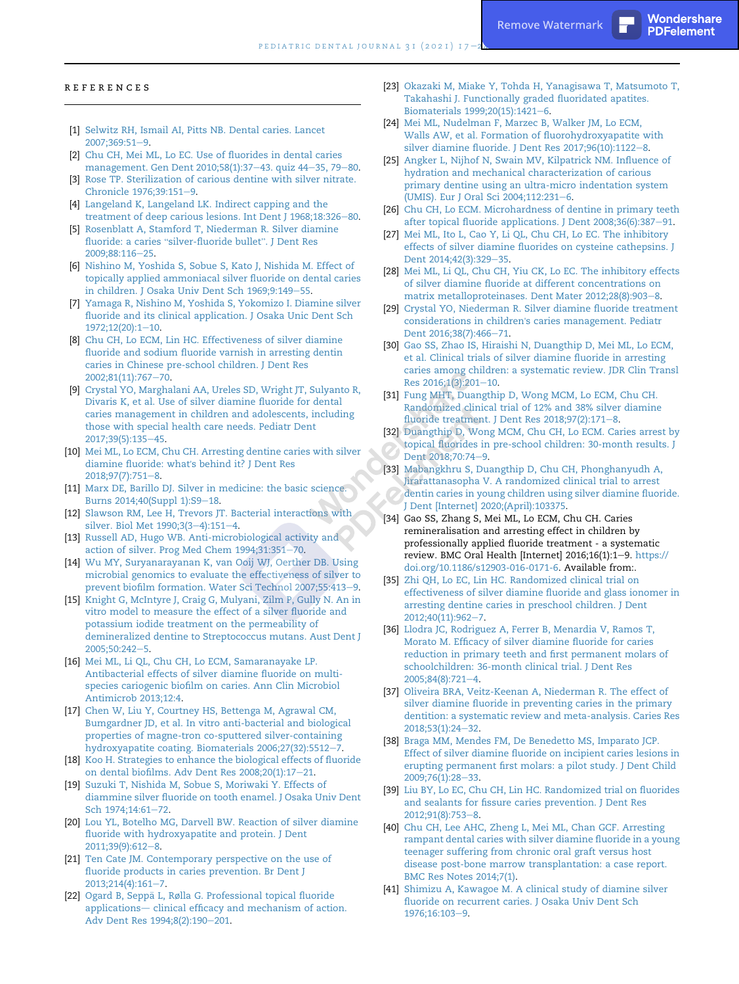PDFelement

- <span id="page-6-0"></span>[1] [Selwitz RH, Ismail AI, Pitts NB. Dental caries. Lancet](http://refhub.elsevier.com/S0917-2394(20)30080-X/sref1) [2007;369:51](http://refhub.elsevier.com/S0917-2394(20)30080-X/sref1)-[9.](http://refhub.elsevier.com/S0917-2394(20)30080-X/sref1)
- <span id="page-6-1"></span>[2] [Chu CH, Mei ML, Lo EC. Use of fluorides in dental caries](http://refhub.elsevier.com/S0917-2394(20)30080-X/sref2) [management. Gen Dent 2010;58\(1\):37](http://refhub.elsevier.com/S0917-2394(20)30080-X/sref2)-[43. quiz 44](http://refhub.elsevier.com/S0917-2394(20)30080-X/sref2)-[35, 79](http://refhub.elsevier.com/S0917-2394(20)30080-X/sref2)-[80.](http://refhub.elsevier.com/S0917-2394(20)30080-X/sref2)
- <span id="page-6-2"></span>[3] [Rose TP. Sterilization of carious dentine with silver nitrate.](http://refhub.elsevier.com/S0917-2394(20)30080-X/sref3) [Chronicle 1976;39:151](http://refhub.elsevier.com/S0917-2394(20)30080-X/sref3)-[9.](http://refhub.elsevier.com/S0917-2394(20)30080-X/sref3)
- <span id="page-6-3"></span>[4] [Langeland K, Langeland LK. Indirect capping and the](http://refhub.elsevier.com/S0917-2394(20)30080-X/sref4) [treatment of deep carious lesions. Int Dent J 1968;18:326](http://refhub.elsevier.com/S0917-2394(20)30080-X/sref4)-[80.](http://refhub.elsevier.com/S0917-2394(20)30080-X/sref4)
- <span id="page-6-4"></span>[5] [Rosenblatt A, Stamford T, Niederman R. Silver diamine](http://refhub.elsevier.com/S0917-2394(20)30080-X/sref5) fluoride: a caries "[silver-fluoride bullet](http://refhub.elsevier.com/S0917-2394(20)30080-X/sref5)". J Dent Res [2009;88:116](http://refhub.elsevier.com/S0917-2394(20)30080-X/sref5)-[25.](http://refhub.elsevier.com/S0917-2394(20)30080-X/sref5)
- <span id="page-6-5"></span>[6] [Nishino M, Yoshida S, Sobue S, Kato J, Nishida M. Effect of](http://refhub.elsevier.com/S0917-2394(20)30080-X/sref6) [topically applied ammoniacal silver fluoride on dental caries](http://refhub.elsevier.com/S0917-2394(20)30080-X/sref6) [in children. J Osaka Univ Dent Sch 1969;9:149](http://refhub.elsevier.com/S0917-2394(20)30080-X/sref6)-[55](http://refhub.elsevier.com/S0917-2394(20)30080-X/sref6).
- <span id="page-6-6"></span>[7] [Yamaga R, Nishino M, Yoshida S, Yokomizo I. Diamine silver](http://refhub.elsevier.com/S0917-2394(20)30080-X/sref7) [fluoride and its clinical application. J Osaka Unic Dent Sch](http://refhub.elsevier.com/S0917-2394(20)30080-X/sref7) [1972;12\(20\):1](http://refhub.elsevier.com/S0917-2394(20)30080-X/sref7)-[10.](http://refhub.elsevier.com/S0917-2394(20)30080-X/sref7)
- <span id="page-6-7"></span>[8] [Chu CH, Lo ECM, Lin HC. Effectiveness of silver diamine](http://refhub.elsevier.com/S0917-2394(20)30080-X/sref8) [fluoride and sodium fluoride varnish in arresting dentin](http://refhub.elsevier.com/S0917-2394(20)30080-X/sref8) [caries in Chinese pre-school children. J Dent Res](http://refhub.elsevier.com/S0917-2394(20)30080-X/sref8) [2002;81\(11\):767](http://refhub.elsevier.com/S0917-2394(20)30080-X/sref8)-[70.](http://refhub.elsevier.com/S0917-2394(20)30080-X/sref8)
- <span id="page-6-8"></span>[9] [Crystal YO, Marghalani AA, Ureles SD, Wright JT, Sulyanto R,](http://refhub.elsevier.com/S0917-2394(20)30080-X/sref9) [Divaris K, et al. Use of silver diamine fluoride for dental](http://refhub.elsevier.com/S0917-2394(20)30080-X/sref9) [caries management in children and adolescents, including](http://refhub.elsevier.com/S0917-2394(20)30080-X/sref9) [those with special health care needs. Pediatr Dent](http://refhub.elsevier.com/S0917-2394(20)30080-X/sref9) [2017;39\(5\):135](http://refhub.elsevier.com/S0917-2394(20)30080-X/sref9)-[45.](http://refhub.elsevier.com/S0917-2394(20)30080-X/sref9)
- <span id="page-6-9"></span>[10] [Mei ML, Lo ECM, Chu CH. Arresting dentine caries with silver](http://refhub.elsevier.com/S0917-2394(20)30080-X/sref10) [diamine fluoride: what](http://refhub.elsevier.com/S0917-2394(20)30080-X/sref10)'s behind it? J Dent Res [2018;97\(7\):751](http://refhub.elsevier.com/S0917-2394(20)30080-X/sref10)-[8.](http://refhub.elsevier.com/S0917-2394(20)30080-X/sref10)
- <span id="page-6-10"></span>[11] [Marx DE, Barillo DJ. Silver in medicine: the basic science.](http://refhub.elsevier.com/S0917-2394(20)30080-X/sref11) [Burns 2014;40\(Suppl 1\):S9](http://refhub.elsevier.com/S0917-2394(20)30080-X/sref11)-[18](http://refhub.elsevier.com/S0917-2394(20)30080-X/sref11).
- <span id="page-6-11"></span>[12] [Slawson RM, Lee H, Trevors JT. Bacterial interactions with](http://refhub.elsevier.com/S0917-2394(20)30080-X/sref12) [silver. Biol Met 1990;3\(3](http://refhub.elsevier.com/S0917-2394(20)30080-X/sref12)-[4\):151](http://refhub.elsevier.com/S0917-2394(20)30080-X/sref12)-[4.](http://refhub.elsevier.com/S0917-2394(20)30080-X/sref12)
- <span id="page-6-12"></span>[13] [Russell AD, Hugo WB. Anti-microbiological activity and](http://refhub.elsevier.com/S0917-2394(20)30080-X/sref13) [action of silver. Prog Med Chem 1994;31:351](http://refhub.elsevier.com/S0917-2394(20)30080-X/sref13)-[70.](http://refhub.elsevier.com/S0917-2394(20)30080-X/sref13)
- <span id="page-6-13"></span>[14] [Wu MY, Suryanarayanan K, van Ooij WJ, Oerther DB. Using](http://refhub.elsevier.com/S0917-2394(20)30080-X/sref14) [microbial genomics to evaluate the effectiveness of silver to](http://refhub.elsevier.com/S0917-2394(20)30080-X/sref14) [prevent biofilm formation. Water Sci Technol 2007;55:413](http://refhub.elsevier.com/S0917-2394(20)30080-X/sref14)-[9.](http://refhub.elsevier.com/S0917-2394(20)30080-X/sref14)
- <span id="page-6-14"></span>[15] [Knight G, McIntyre J, Craig G, Mulyani, Zilm P, Gully N. An in](http://refhub.elsevier.com/S0917-2394(20)30080-X/sref15) [vitro model to measure the effect of a silver fluoride and](http://refhub.elsevier.com/S0917-2394(20)30080-X/sref15) [potassium iodide treatment on the permeability of](http://refhub.elsevier.com/S0917-2394(20)30080-X/sref15) [demineralized dentine to Streptococcus mutans. Aust Dent J](http://refhub.elsevier.com/S0917-2394(20)30080-X/sref15) 2005:50:242-[5.](http://refhub.elsevier.com/S0917-2394(20)30080-X/sref15)
- <span id="page-6-15"></span>[16] [Mei ML, Li QL, Chu CH, Lo ECM, Samaranayake LP.](http://refhub.elsevier.com/S0917-2394(20)30080-X/sref16) [Antibacterial effects of silver diamine fluoride on multi](http://refhub.elsevier.com/S0917-2394(20)30080-X/sref16)[species cariogenic biofilm on caries. Ann Clin Microbiol](http://refhub.elsevier.com/S0917-2394(20)30080-X/sref16) [Antimicrob 2013;12:4.](http://refhub.elsevier.com/S0917-2394(20)30080-X/sref16)
- <span id="page-6-16"></span>[17] [Chen W, Liu Y, Courtney HS, Bettenga M, Agrawal CM,](http://refhub.elsevier.com/S0917-2394(20)30080-X/sref17) [Bumgardner JD, et al. In vitro anti-bacterial and biological](http://refhub.elsevier.com/S0917-2394(20)30080-X/sref17) [properties of magne-tron co-sputtered silver-containing](http://refhub.elsevier.com/S0917-2394(20)30080-X/sref17) [hydroxyapatite coating. Biomaterials 2006;27\(32\):5512](http://refhub.elsevier.com/S0917-2394(20)30080-X/sref17)-[7](http://refhub.elsevier.com/S0917-2394(20)30080-X/sref17).
- <span id="page-6-17"></span>[18] [Koo H. Strategies to enhance the biological effects of fluoride](http://refhub.elsevier.com/S0917-2394(20)30080-X/sref18) [on dental biofilms. Adv Dent Res 2008;20\(1\):17](http://refhub.elsevier.com/S0917-2394(20)30080-X/sref18)-[21.](http://refhub.elsevier.com/S0917-2394(20)30080-X/sref18)
- <span id="page-6-18"></span>[19] [Suzuki T, Nishida M, Sobue S, Moriwaki Y. Effects of](http://refhub.elsevier.com/S0917-2394(20)30080-X/sref19) [diammine silver fluoride on tooth enamel. J Osaka Univ Dent](http://refhub.elsevier.com/S0917-2394(20)30080-X/sref19) [Sch 1974;14:61](http://refhub.elsevier.com/S0917-2394(20)30080-X/sref19)-[72.](http://refhub.elsevier.com/S0917-2394(20)30080-X/sref19)
- <span id="page-6-19"></span>[20] [Lou YL, Botelho MG, Darvell BW. Reaction of silver diamine](http://refhub.elsevier.com/S0917-2394(20)30080-X/sref20) [fluoride with hydroxyapatite and protein. J Dent](http://refhub.elsevier.com/S0917-2394(20)30080-X/sref20) [2011;39\(9\):612](http://refhub.elsevier.com/S0917-2394(20)30080-X/sref20)-[8.](http://refhub.elsevier.com/S0917-2394(20)30080-X/sref20)
- <span id="page-6-20"></span>[21] [Ten Cate JM. Contemporary perspective on the use of](http://refhub.elsevier.com/S0917-2394(20)30080-X/sref21) [fluoride products in caries prevention. Br Dent J](http://refhub.elsevier.com/S0917-2394(20)30080-X/sref21)  $2013;214(4):161-7.$  $2013;214(4):161-7.$  $2013;214(4):161-7.$
- <span id="page-6-21"></span>[22] [Ogard B, Sepp](http://refhub.elsevier.com/S0917-2394(20)30080-X/sref22)ä [L, Rølla G. Professional topical fluoride](http://refhub.elsevier.com/S0917-2394(20)30080-X/sref22) [applications](http://refhub.elsevier.com/S0917-2394(20)30080-X/sref22)- [clinical efficacy and mechanism of action.](http://refhub.elsevier.com/S0917-2394(20)30080-X/sref22) [Adv Dent Res 1994;8\(2\):190](http://refhub.elsevier.com/S0917-2394(20)30080-X/sref22)-[201](http://refhub.elsevier.com/S0917-2394(20)30080-X/sref22).
- <span id="page-6-22"></span>[23] [Okazaki M, Miake Y, Tohda H, Yanagisawa T, Matsumoto T,](http://refhub.elsevier.com/S0917-2394(20)30080-X/sref23) [Takahashi J. Functionally graded fluoridated apatites.](http://refhub.elsevier.com/S0917-2394(20)30080-X/sref23) [Biomaterials 1999;20\(15\):1421](http://refhub.elsevier.com/S0917-2394(20)30080-X/sref23)-[6.](http://refhub.elsevier.com/S0917-2394(20)30080-X/sref23)
- <span id="page-6-23"></span>[24] [Mei ML, Nudelman F, Marzec B, Walker JM, Lo ECM,](http://refhub.elsevier.com/S0917-2394(20)30080-X/sref24) [Walls AW, et al. Formation of fluorohydroxyapatite with](http://refhub.elsevier.com/S0917-2394(20)30080-X/sref24) silver diamine fluoride. J Dent Res  $2017;96(10):1122-8$  $2017;96(10):1122-8$ .
- <span id="page-6-24"></span>[25] [Angker L, Nijhof N, Swain MV, Kilpatrick NM. Influence of](http://refhub.elsevier.com/S0917-2394(20)30080-X/sref25) [hydration and mechanical characterization of carious](http://refhub.elsevier.com/S0917-2394(20)30080-X/sref25) [primary dentine using an ultra-micro indentation system](http://refhub.elsevier.com/S0917-2394(20)30080-X/sref25) [\(UMIS\). Eur J Oral Sci 2004;112:231](http://refhub.elsevier.com/S0917-2394(20)30080-X/sref25)-[6.](http://refhub.elsevier.com/S0917-2394(20)30080-X/sref25)
- <span id="page-6-25"></span>[26] [Chu CH, Lo ECM. Microhardness of dentine in primary teeth](http://refhub.elsevier.com/S0917-2394(20)30080-X/sref26) [after topical fluoride applications. J Dent 2008;36\(6\):387](http://refhub.elsevier.com/S0917-2394(20)30080-X/sref26)-[91](http://refhub.elsevier.com/S0917-2394(20)30080-X/sref26).
- <span id="page-6-26"></span>[27] [Mei ML, Ito L, Cao Y, Li QL, Chu CH, Lo EC. The inhibitory](http://refhub.elsevier.com/S0917-2394(20)30080-X/sref27) [effects of silver diamine fluorides on cysteine cathepsins. J](http://refhub.elsevier.com/S0917-2394(20)30080-X/sref27) [Dent 2014;42\(3\):329](http://refhub.elsevier.com/S0917-2394(20)30080-X/sref27)-[35](http://refhub.elsevier.com/S0917-2394(20)30080-X/sref27).
- <span id="page-6-27"></span>[28] [Mei ML, Li QL, Chu CH, Yiu CK, Lo EC. The inhibitory effects](http://refhub.elsevier.com/S0917-2394(20)30080-X/sref28) [of silver diamine fluoride at different concentrations on](http://refhub.elsevier.com/S0917-2394(20)30080-X/sref28) [matrix metalloproteinases. Dent Mater 2012;28\(8\):903](http://refhub.elsevier.com/S0917-2394(20)30080-X/sref28)-[8.](http://refhub.elsevier.com/S0917-2394(20)30080-X/sref28)
- <span id="page-6-28"></span>[29] [Crystal YO, Niederman R. Silver diamine fluoride treatment](http://refhub.elsevier.com/S0917-2394(20)30080-X/sref29) considerations in children'[s caries management. Pediatr](http://refhub.elsevier.com/S0917-2394(20)30080-X/sref29) [Dent 2016;38\(7\):466](http://refhub.elsevier.com/S0917-2394(20)30080-X/sref29)-[71](http://refhub.elsevier.com/S0917-2394(20)30080-X/sref29).
- <span id="page-6-29"></span>[30] [Gao SS, Zhao IS, Hiraishi N, Duangthip D, Mei ML, Lo ECM,](http://refhub.elsevier.com/S0917-2394(20)30080-X/sref30) [et al. Clinical trials of silver diamine fluoride in arresting](http://refhub.elsevier.com/S0917-2394(20)30080-X/sref30) [caries among children: a systematic review. JDR Clin Transl](http://refhub.elsevier.com/S0917-2394(20)30080-X/sref30) [Res 2016;1\(3\):201](http://refhub.elsevier.com/S0917-2394(20)30080-X/sref30)-[10.](http://refhub.elsevier.com/S0917-2394(20)30080-X/sref30)
- <span id="page-6-30"></span>[31] [Fung MHT, Duangthip D, Wong MCM, Lo ECM, Chu CH.](http://refhub.elsevier.com/S0917-2394(20)30080-X/sref31) [Randomized clinical trial of 12% and 38% silver diamine](http://refhub.elsevier.com/S0917-2394(20)30080-X/sref31) fluoride treatment. J Dent Res  $2018;97(2):171-8$  $2018;97(2):171-8$  $2018;97(2):171-8$ .
- <span id="page-6-31"></span>[32] [Duangthip D, Wong MCM, Chu CH, Lo ECM. Caries arrest by](http://refhub.elsevier.com/S0917-2394(20)30080-X/sref32) [topical fluorides in pre-school children: 30-month results. J](http://refhub.elsevier.com/S0917-2394(20)30080-X/sref32) Dent 2018:70:74-[9.](http://refhub.elsevier.com/S0917-2394(20)30080-X/sref32)
- <span id="page-6-32"></span>[33] [Mabangkhru S, Duangthip D, Chu CH, Phonghanyudh A,](http://refhub.elsevier.com/S0917-2394(20)30080-X/sref33) [Jirarattanasopha V. A randomized clinical trial to arrest](http://refhub.elsevier.com/S0917-2394(20)30080-X/sref33) [dentin caries in young children using silver diamine fluoride.](http://refhub.elsevier.com/S0917-2394(20)30080-X/sref33) [J Dent \[Internet\] 2020;\(April\):103375.](http://refhub.elsevier.com/S0917-2394(20)30080-X/sref33)
- <span id="page-6-33"></span>[34] Gao SS, Zhang S, Mei ML, Lo ECM, Chu CH. Caries remineralisation and arresting effect in children by professionally applied fluoride treatment - a systematic review. BMC Oral Health [Internet] 2016;16(1):1-9. [https://](https://doi.org/10.1186/s12903-016-0171-6) [doi.org/10.1186/s12903-016-0171-6](https://doi.org/10.1186/s12903-016-0171-6). Available from:.
- <span id="page-6-34"></span>[35] [Zhi QH, Lo EC, Lin HC. Randomized clinical trial on](http://refhub.elsevier.com/S0917-2394(20)30080-X/sref35) [effectiveness of silver diamine fluoride and glass ionomer in](http://refhub.elsevier.com/S0917-2394(20)30080-X/sref35) [arresting dentine caries in preschool children. J Dent](http://refhub.elsevier.com/S0917-2394(20)30080-X/sref35) [2012;40\(11\):962](http://refhub.elsevier.com/S0917-2394(20)30080-X/sref35)-[7.](http://refhub.elsevier.com/S0917-2394(20)30080-X/sref35)
- <span id="page-6-35"></span>[36] [Llodra JC, Rodriguez A, Ferrer B, Menardia V, Ramos T,](http://refhub.elsevier.com/S0917-2394(20)30080-X/sref36) [Morato M. Efficacy of silver diamine fluoride for caries](http://refhub.elsevier.com/S0917-2394(20)30080-X/sref36) [reduction in primary teeth and first permanent molars of](http://refhub.elsevier.com/S0917-2394(20)30080-X/sref36) [schoolchildren: 36-month clinical trial. J Dent Res](http://refhub.elsevier.com/S0917-2394(20)30080-X/sref36) [2005;84\(8\):721](http://refhub.elsevier.com/S0917-2394(20)30080-X/sref36)-[4.](http://refhub.elsevier.com/S0917-2394(20)30080-X/sref36)
- <span id="page-6-36"></span>[37] [Oliveira BRA, Veitz-Keenan A, Niederman R. The effect of](http://refhub.elsevier.com/S0917-2394(20)30080-X/sref37) [silver diamine fluoride in preventing caries in the primary](http://refhub.elsevier.com/S0917-2394(20)30080-X/sref37) [dentition: a systematic review and meta-analysis. Caries Res](http://refhub.elsevier.com/S0917-2394(20)30080-X/sref37) [2018;53\(1\):24](http://refhub.elsevier.com/S0917-2394(20)30080-X/sref37)-[32.](http://refhub.elsevier.com/S0917-2394(20)30080-X/sref37)
- <span id="page-6-37"></span>[38] [Braga MM, Mendes FM, De Benedetto MS, Imparato JCP.](http://refhub.elsevier.com/S0917-2394(20)30080-X/sref38) [Effect of silver diamine fluoride on incipient caries lesions in](http://refhub.elsevier.com/S0917-2394(20)30080-X/sref38) [erupting permanent first molars: a pilot study. J Dent Child](http://refhub.elsevier.com/S0917-2394(20)30080-X/sref38) 2009:76(1):28-[33.](http://refhub.elsevier.com/S0917-2394(20)30080-X/sref38)
- <span id="page-6-38"></span>[39] [Liu BY, Lo EC, Chu CH, Lin HC. Randomized trial on fluorides](http://refhub.elsevier.com/S0917-2394(20)30080-X/sref39) [and sealants for fissure caries prevention. J Dent Res](http://refhub.elsevier.com/S0917-2394(20)30080-X/sref39) [2012;91\(8\):753](http://refhub.elsevier.com/S0917-2394(20)30080-X/sref39)-[8.](http://refhub.elsevier.com/S0917-2394(20)30080-X/sref39)
- <span id="page-6-39"></span>[40] [Chu CH, Lee AHC, Zheng L, Mei ML, Chan GCF. Arresting](http://refhub.elsevier.com/S0917-2394(20)30080-X/sref40) [rampant dental caries with silver diamine fluoride in a young](http://refhub.elsevier.com/S0917-2394(20)30080-X/sref40) [teenager suffering from chronic oral graft versus host](http://refhub.elsevier.com/S0917-2394(20)30080-X/sref40) [disease post-bone marrow transplantation: a case report.](http://refhub.elsevier.com/S0917-2394(20)30080-X/sref40) [BMC Res Notes 2014;7\(1\)](http://refhub.elsevier.com/S0917-2394(20)30080-X/sref40).
- <span id="page-6-40"></span>[41] [Shimizu A, Kawagoe M. A clinical study of diamine silver](http://refhub.elsevier.com/S0917-2394(20)30080-X/sref41) [fluoride on recurrent caries. J Osaka Univ Dent Sch](http://refhub.elsevier.com/S0917-2394(20)30080-X/sref41) 1976:16:103-[9.](http://refhub.elsevier.com/S0917-2394(20)30080-X/sref41)